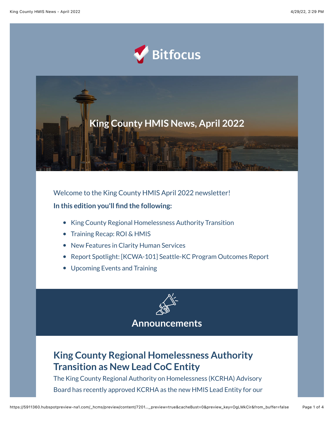



Welcome to the King County HMIS April 2022 newsletter! **In this edition you'll find the following:**

- King County Regional Homelessness Authority Transition
- Training Recap: ROI & HMIS
- New Features in Clarity Human Services
- Report Spotlight: [KCWA-101] Seattle-KC Program Outcomes Report
- Upcoming Events and Training



#### **Announcements**

## **King County Regional Homelessness Authority Transition as New Lead CoC Entity**

The King County Regional Authority on Homelessness (KCRHA) Advisory Board has recently approved KCRHA as the new HMIS Lead Entity for our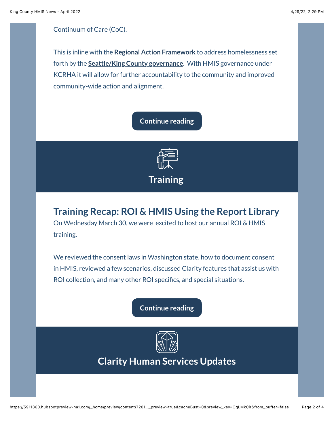#### Continuum of Care (CoC).

This is inline with the **[Regional Action Framework](https://kcrha.org/about-us/what-is-the-regional-action-plan/?utm_source=hs_email&utm_medium=email&_hsenc=p2ANqtz-9FtuUei4B5sdSloHA62OAh5_KZbllLJi7D5vNDLNqdUaeA5_pPkqwyqAFdsZHMVzFSE0RM)** to address homelessness set forth by the **[Seattle/King County governance](https://kingcounty.gov/elected/executive/constantine/news/release/2019/December/18-governance-homelessness.aspx?utm_source=hs_email&utm_medium=email&_hsenc=p2ANqtz-9FtuUei4B5sdSloHA62OAh5_KZbllLJi7D5vNDLNqdUaeA5_pPkqwyqAFdsZHMVzFSE0RM)**. With HMIS governance under KCRHA it will allow for further accountability to the community and improved community-wide action and alignment.

#### **[Continue reading](https://www.bitfocus.com/hubfs/CoAd%20Newsletters/King%20County/April%202022/King%20County%20-%20April%20-%20Training%20Recap.pdf?utm_source=hs_email&utm_medium=email&_hsenc=p2ANqtz-9FtuUei4B5sdSloHA62OAh5_KZbllLJi7D5vNDLNqdUaeA5_pPkqwyqAFdsZHMVzFSE0RM)**



# **Training Recap: ROI & HMIS Using the Report Library**

On Wednesday March 30, we were excited to host our annual ROI & HMIS training.

We reviewed the consent laws in Washington state, how to document consent in HMIS, reviewed a few scenarios, discussed Clarity features that assist us with ROI collection, and many other ROI specifics, and special situations.

**[Continue reading](https://www.bitfocus.com/hubfs/CoAd%20Newsletters/King%20County/April%202022/King%20County%20-%20March%20-%20Training%20Recap-1.pdf?utm_source=hs_email&utm_medium=email&_hsenc=p2ANqtz-9FtuUei4B5sdSloHA62OAh5_KZbllLJi7D5vNDLNqdUaeA5_pPkqwyqAFdsZHMVzFSE0RM)**



**Clarity Human Services Updates**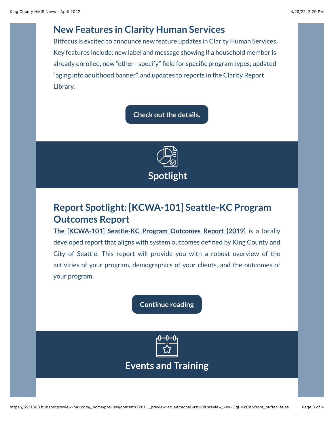#### **New Features in Clarity Human Services**

Bitfocus is excited to announce new feature updates in Clarity Human Services. Key features include: new label and message showing if a household member is already enrolled, new "other - specify" field for specific program types, updated "aging into adulthood banner", and updates to reports in the Clarity Report Library.

**[Check out the details.](https://www.bitfocus.com/hubfs/CoAd%20Newsletters/King%20County/April%202022/King%20County%20-%20April%20-%20New%20Features%20Clarity.pdf?utm_source=hs_email&utm_medium=email&_hsenc=p2ANqtz-9FtuUei4B5sdSloHA62OAh5_KZbllLJi7D5vNDLNqdUaeA5_pPkqwyqAFdsZHMVzFSE0RM)**



# **Report Spotlight: [KCWA-101] Seattle-KC Program Outcomes Report**

**[The \[KCWA-101\] Seattle-KC Program Outcomes Report \[2019\]](https://www.bitfocus.com/hubfs/Community%20Admin%20Sites/King%20County%20-%20Community%20Admin%20Site/Forms%20and%20Guides/King%20County%20General%20Forms/Training%20Manuals%20and%20Guides/SeattleKing%20County%20Outcomes%20Report%20Reference%20Tool%20%5BNov%202019%5D.pdf?hsLang=en&utm_source=hs_email&utm_medium=email&_hsenc=p2ANqtz-9FtuUei4B5sdSloHA62OAh5_KZbllLJi7D5vNDLNqdUaeA5_pPkqwyqAFdsZHMVzFSE0RM)** is a locally developed report that aligns with system outcomes defined by King County and City of Seattle. This report will provide you with a robust overview of the activities of your program, demographics of your clients, and the outcomes of your program.

**[Continue reading](https://www.bitfocus.com/hubfs/CoAd%20Newsletters/King%20County/April%202022/King%20County%20-%20March%20-%20Training%20Recap-2.pdf?utm_source=hs_email&utm_medium=email&_hsenc=p2ANqtz-9FtuUei4B5sdSloHA62OAh5_KZbllLJi7D5vNDLNqdUaeA5_pPkqwyqAFdsZHMVzFSE0RM)**



**Events and Training**